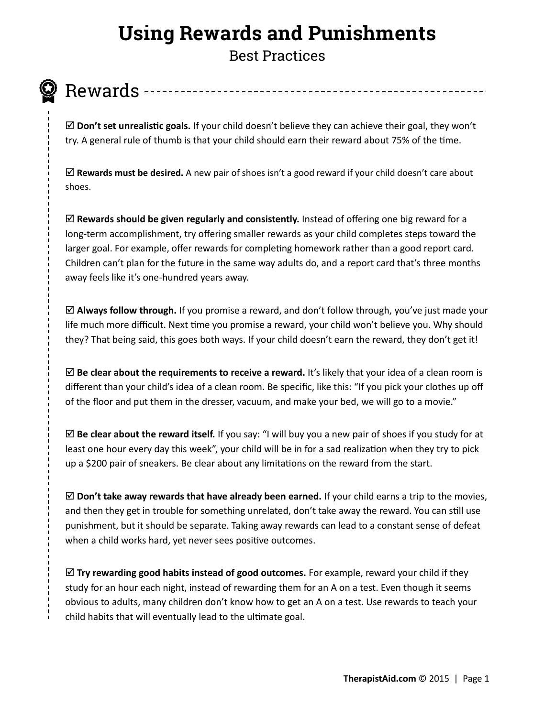# **Using Rewards and Punishments**

Best Practices



Rewards

 $\boxtimes$  **Don't set unrealistic goals.** If your child doesn't believe they can achieve their goal, they won't try. A general rule of thumb is that your child should earn their reward about 75% of the time.

 **Rewards must be desired.** A new pair of shoes isn't a good reward if your child doesn't care about shoes.

 **Rewards should be given regularly and consistently.** Instead of offering one big reward for a long-term accomplishment, try offering smaller rewards as your child completes steps toward the larger goal. For example, offer rewards for completing homework rather than a good report card. Children can't plan for the future in the same way adults do, and a report card that's three months away feels like it's one-hundred years away.

 **Always follow through.** If you promise a reward, and don't follow through, you've just made your life much more difficult. Next time you promise a reward, your child won't believe you. Why should they? That being said, this goes both ways. If your child doesn't earn the reward, they don't get it!

 **Be clear about the requirements to receive a reward.** It's likely that your idea of a clean room is different than your child's idea of a clean room. Be specific, like this: "If you pick your clothes up off of the floor and put them in the dresser, vacuum, and make your bed, we will go to a movie."

 **Be clear about the reward itself.** If you say: "I will buy you a new pair of shoes if you study for at least one hour every day this week", your child will be in for a sad realization when they try to pick up a \$200 pair of sneakers. Be clear about any limitations on the reward from the start.

 $\boxtimes$  Don't take away rewards that have already been earned. If your child earns a trip to the movies, and then they get in trouble for something unrelated, don't take away the reward. You can still use punishment, but it should be separate. Taking away rewards can lead to a constant sense of defeat when a child works hard, yet never sees positive outcomes.

 $\boxtimes$  Try rewarding good habits instead of good outcomes. For example, reward your child if they study for an hour each night, instead of rewarding them for an A on a test. Even though it seems obvious to adults, many children don't know how to get an A on a test. Use rewards to teach your child habits that will eventually lead to the ultimate goal.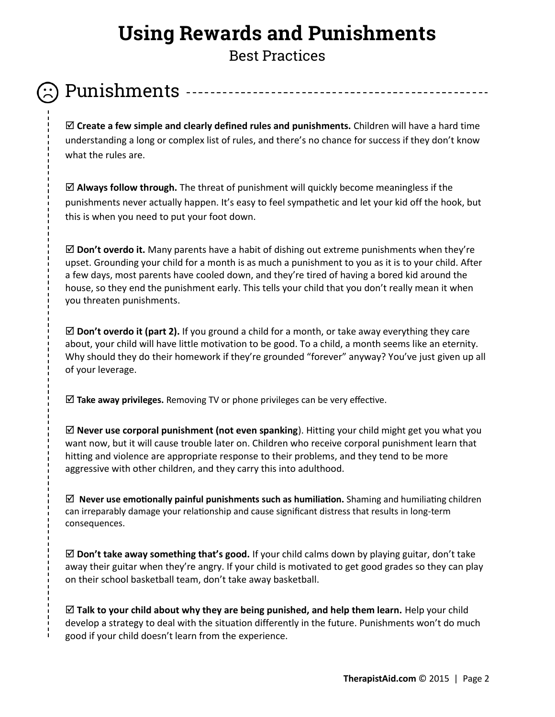# **Using Rewards and Punishments**

Best Practices

#### Punishments

 **Create a few simple and clearly defined rules and punishments.** Children will have a hard time understanding a long or complex list of rules, and there's no chance for success if they don't know what the rules are.

 $\boxtimes$  **Always follow through.** The threat of punishment will quickly become meaningless if the punishments never actually happen. It's easy to feel sympathetic and let your kid off the hook, but this is when you need to put your foot down.

 **Don't overdo it.** Many parents have a habit of dishing out extreme punishments when they're upset. Grounding your child for a month is as much a punishment to you as it is to your child. After a few days, most parents have cooled down, and they're tired of having a bored kid around the house, so they end the punishment early. This tells your child that you don't really mean it when you threaten punishments.

 **Don't overdo it (part 2).** If you ground a child for a month, or take away everything they care about, your child will have little motivation to be good. To a child, a month seems like an eternity. Why should they do their homework if they're grounded "forever" anyway? You've just given up all of your leverage.

**Take away privileges.** Removing TV or phone privileges can be very effective.

 **Never use corporal punishment (not even spanking**). Hitting your child might get you what you want now, but it will cause trouble later on. Children who receive corporal punishment learn that hitting and violence are appropriate response to their problems, and they tend to be more aggressive with other children, and they carry this into adulthood.

 **Never use emotionally painful punishments such as humiliation.** Shaming and humiliating children can irreparably damage your relationship and cause significant distress that results in long-term consequences.

 **Don't take away something that's good.** If your child calms down by playing guitar, don't take away their guitar when they're angry. If your child is motivated to get good grades so they can play on their school basketball team, don't take away basketball.

 **Talk to your child about why they are being punished, and help them learn.** Help your child develop a strategy to deal with the situation differently in the future. Punishments won't do much good if your child doesn't learn from the experience.